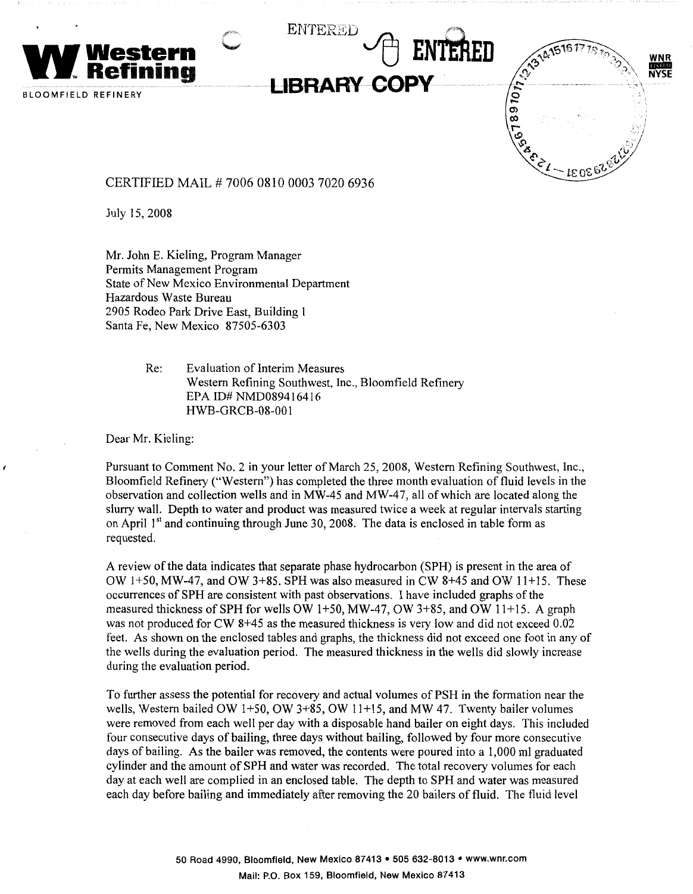

CERTIFIED MAIL# 7006 0810 0003 7020 6936

July 15, 2008

Mr. John E. Kieling, Program Manager Permits Management Program State of New Mexico Environmental Department Hazardous Waste Bureau 2905 Rodeo Park Drive East, Building 1 Santa Fe, New Mexico 87505-6303

> Re: Evaluation of Interim Measures Western Refining Southwest, Inc., Bloomfield Refinery EPA ID# NMD089416416 HWB-GRCB-08-001

Dear Mr. Kieling:

Pursuant to Comment No. 2 in your letter of March 25, 2008, Western Refining Southwest, Inc., Bloomfield Refinery ("Western") has completed the three month evaluation of fluid levels in the observation and collection wells and in MW-45 and MW-47, all of which are located along the slurry wall. Depth to water and product was measured twice a week at regular intervals starting on April  $1<sup>st</sup>$  and continuing through June 30, 2008. The data is enclosed in table form as requested.

A review of the data indicates that separate phase hydrocarbon (SPH) is present in the area of OW 1+50, MW-47, and OW 3+85. SPH was also measured in CW 8+45 and OW 11+15. These occurrences of SPH are consistent with past observations. I have included graphs of the measured thickness of SPH for wells OW 1+50, MW-47, OW 3+85, and OW 11+15. A graph was not produced for CW 8+45 as the measured thickness is very low and did not exceed 0.02 feet. As shown on the enclosed tables and graphs, the thickness did not exceed one foot in any of the wells during the evaluation period. The measured thickness in the wells did slowly increase during the evaluation period.

To further assess the potential for recovery and actual volumes of PSH in the formation near the wells, Western bailed OW 1+50, OW 3+85, OW 11+15, and MW 47. Twenty bailer volumes were removed from each well per day with a disposable hand bailer on eight days. This included four consecutive days of bailing, three days without bailing, followed by four more consecutive days of bailing. As the bailer was removed, the contents were poured into a 1,000 ml graduated cylinder and the amount of SPH and water was recorded. The total recovery volumes for each day at each well are complied in an enclosed table. The depth to SPH and water was measured each day before bailing and immediately after removing the 20 hailers of fluid. The fluid level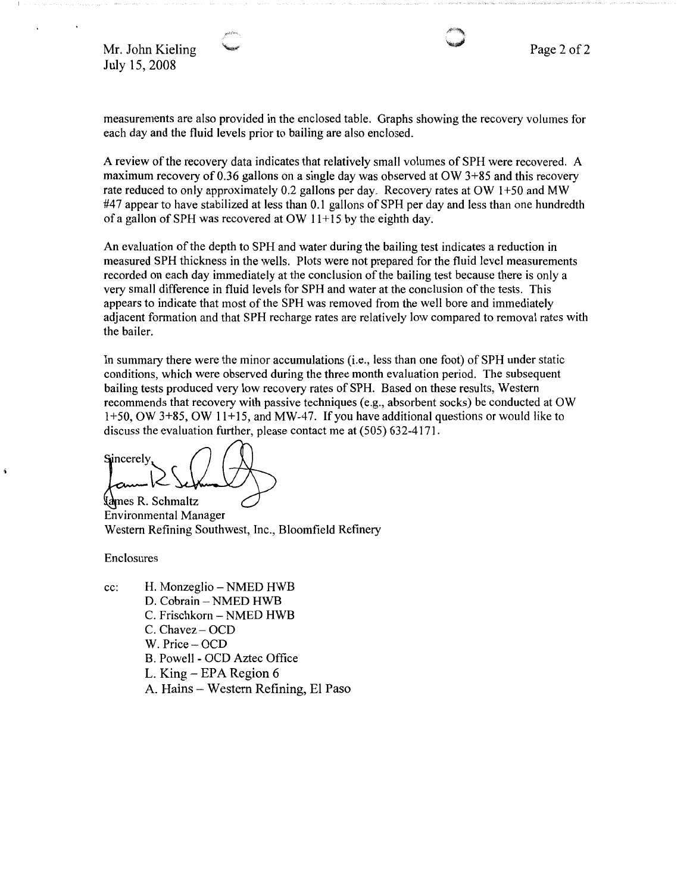Mr. John Kieling July 15, 2008

measurements are also provided in the enclosed table. Graphs showing the recovery volumes for each day and the fluid levels prior to bailing are also enclosed.

A review of the recovery data indicates that relatively small volumes of SPH were recovered. A maximum recovery of 0.36 gallons on a single day was observed at OW 3+85 and this recovery rate reduced to only approximately 0.2 gallons per day. Recovery rates at OW 1+50 and MW #47 appear to have stabilized at less than 0.1 gallons of SPH per day and less than one hundredth of a gallon of SPH was recovered at OW  $11+15$  by the eighth day.

An evaluation of the depth to SPH and water during the bailing test indicates a reduction in measured SPH thickness in the wells. Plots were not prepared for the fluid level measurements recorded on each day immediately at the conclusion of the bailing test because there is only a very small difference in fluid levels for SPH and water at the conclusion of the tests. This appears to indicate that most of the SPH was removed from the well bore and immediately adjacent formation and that SPH recharge rates are relatively low compared to removal rates with the bailer.

In summary there were the minor accumulations (i.e., less than one foot) of SPH under static conditions, which were observed during the three month evaluation period. The subsequent bailing tests produced very low recovery rates of SPH. Based on these results, Western recommends that recovery with passive techniques (e.g., absorbent socks) be conducted at OW 1+50, OW 3+85, OW 11+15, and MW-47. If you have additional questions or would like to discuss the evaluation further, please contact me at (505) 632-4171.

Sincerely.

**~~chmaltz**  Environmental Manager Western Refining Southwest, Inc., Bloomfield Refinery

Enclosures

- cc: H. Monzeglio NMED HWB
	- D. Cobrain NMED HWB
	- C. Frischkorn NMED HWB
	- C. Chavez OCD
	- W. Price OCD
	- B. Powell OCD Aztec Office
	- L. King EPA Region 6
	- A. Hains Western Refining, El Paso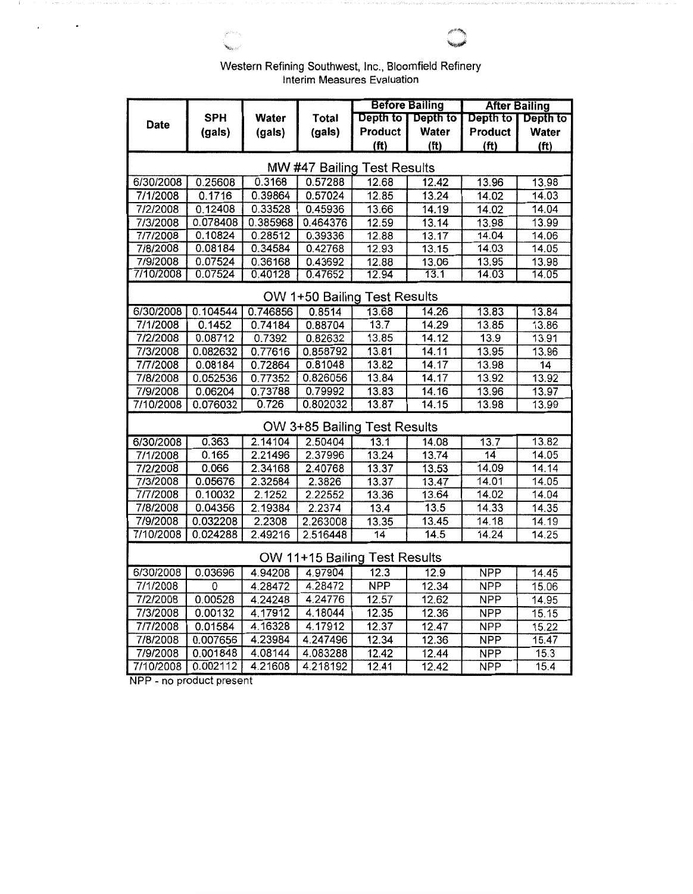|                             |  | Western Refining Southwest, Inc., Bloomfield Refinery |  |  |  |  |  |  |  |  |
|-----------------------------|--|-------------------------------------------------------|--|--|--|--|--|--|--|--|
| Interim Measures Evaluation |  |                                                       |  |  |  |  |  |  |  |  |

**MARSHALL** 

|                                      |                    |                    |                    | <b>Before Bailing</b> |                   | <b>After Bailing</b> |                   |  |  |  |  |
|--------------------------------------|--------------------|--------------------|--------------------|-----------------------|-------------------|----------------------|-------------------|--|--|--|--|
|                                      | <b>SPH</b>         | Water              | <b>Total</b>       | Depth to              | Depth to          | Depth to             | Depth to          |  |  |  |  |
| Date                                 | (gals)             | (gals)             | (gals)             | Product               | Water             | Product              | Water             |  |  |  |  |
|                                      |                    |                    |                    | (f <sup>t</sup> )     | (f <sup>t</sup> ) | (f <sup>t</sup> )    | (f <sup>t</sup> ) |  |  |  |  |
|                                      |                    |                    |                    |                       |                   |                      |                   |  |  |  |  |
| MW #47 Bailing Test Results<br>13.98 |                    |                    |                    |                       |                   |                      |                   |  |  |  |  |
| 6/30/2008                            | 0.25608            | 0.3168             | 0.57288            | 12.68                 | 12.42             | 13.96                |                   |  |  |  |  |
| 7/1/2008                             | 0.1716             | 0.39864            | 0.57024            | 12.85                 | 13.24             | 14.02                | 14.03             |  |  |  |  |
| 7/2/2008                             | 0.12408            | 0.33528            | 0.45936            | 13.66                 | 14.19             | 14.02                | 14.04             |  |  |  |  |
| 7/3/2008                             | 0.078408           | 0.385968           | 0.464376           | 12.59                 | 13.14             | 13.98                | 13.99             |  |  |  |  |
| 7/7/2008                             | 0.10824            | 0.28512            | 0.39336            | 12.88<br>12.93        | 13.17             | 14.04                | 14.06             |  |  |  |  |
| 7/8/2008                             | 0.08184            | 0.34584            | 0.42768            |                       | 13.15<br>13.06    | 14.03                | 14.05<br>13.98    |  |  |  |  |
| 7/9/2008<br>7/10/2008                | 0.07524<br>0.07524 | 0.36168<br>0.40128 | 0.43692<br>0.47652 | 12.88<br>12.94        | 13.1              | 13.95<br>14.03       | 14.05             |  |  |  |  |
|                                      |                    |                    |                    |                       |                   |                      |                   |  |  |  |  |
| OW 1+50 Bailing Test Results         |                    |                    |                    |                       |                   |                      |                   |  |  |  |  |
| 6/30/2008                            | 0.104544           | 0.746856           | 0.8514             | 13.68                 | 14.26             | 13.83                | 13.84             |  |  |  |  |
| 7/1/2008                             | 0.1452             | 0.74184            | 0.88704            | 13.7                  | 14.29             | 13.85                | 13.86             |  |  |  |  |
| 7/2/2008                             | 0.08712            | 0.7392             | 0.82632            | 13.85                 | 14.12             | 13.9                 | 13.91             |  |  |  |  |
| 7/3/2008                             | 0.082632           | 0.77616            | 0.858792           | 13.81                 | 14.11             | 13.95                | 13.96             |  |  |  |  |
| 7/7/2008                             | 0.08184            | 0.72864            | 0.81048            | 13.82                 | 14.17             | 13.98                | $\overline{14}$   |  |  |  |  |
| 7/8/2008                             | 0.052536           | 0.77352            | 0.826056           | 13.84                 | 14.17             | 13.92                | 13.92             |  |  |  |  |
| 7/9/2008                             | 0.06204            | 0.73788            | 0.79992            | 13.83                 | 14.16             | 13.96                | 13.97             |  |  |  |  |
| 7/10/2008                            | 0.076032           | 0.726              | 0.802032           | 13.87                 | 14.15             | 13.98                | 13.99             |  |  |  |  |
| OW 3+85 Bailing Test Results         |                    |                    |                    |                       |                   |                      |                   |  |  |  |  |
| 6/30/2008                            | 0.363              | 2.14104            | 2.50404            | 13.1                  | 14.08             | 13.7                 | 13.82             |  |  |  |  |
| 7/1/2008                             | 0.165              | 2.21496            | 2.37996            | 13.24                 | 13.74             | 14                   | 14.05             |  |  |  |  |
| 7/2/2008                             | 0.066              | 2.34168            | 2.40768            | 13.37                 | 13.53             | 14.09                | 14.14             |  |  |  |  |
| 7/3/2008                             | 0.05676            | 2.32584            | 2.3826             | 13.37                 | 13.47             | 14.01                | 14.05             |  |  |  |  |
| 7/7/2008                             | 0.10032            | 2.1252             | 2.22552            | 13.36                 | 13.64             | 14.02                | 14.04             |  |  |  |  |
| 7/8/2008                             | 0.04356            | 2.19384            | 2.2374             | 13.4                  | 13.5              | 14.33                | 14.35             |  |  |  |  |
| 7/9/2008                             | 0.032208           | 2.2308             | 2.263008           | 13.35                 | 13.45             | 14.18                | 14.19             |  |  |  |  |
| 7/10/2008                            | 0.024288           | 2.49216            | 2.516448           | $\overline{14}$       | 14.5              | 14.24                | 14.25             |  |  |  |  |
| OW 11+15 Bailing Test Results        |                    |                    |                    |                       |                   |                      |                   |  |  |  |  |
| 6/30/2008                            | 0.03696            | 4.94208            | 4.97904            | 12.3                  | 12.9              | <b>NPP</b>           | 14.45             |  |  |  |  |
| 7/1/2008                             | 0                  | 4.28472            | 4.28472            | <b>NPP</b>            | 12.34             | <b>NPP</b>           | 15.06             |  |  |  |  |
| 7/2/2008                             | 0.00528            | 4.24248            | 4.24776            | 12.57                 | 12.62             | <b>NPP</b>           | 14.95             |  |  |  |  |
| 7/3/2008                             | 0.00132            | 4.17912            | 4.18044            | 12.35                 | 12.36             | <b>NPP</b>           | 15.15             |  |  |  |  |
| 7/7/2008                             | 0.01584            | 4.16328            | 4.17912            | 12.37                 | 12.47             | <b>NPP</b>           | 15.22             |  |  |  |  |
| 7/8/2008                             | 0.007656           | 4.23984            | 4.247496           | 12.34                 | 12.36             | <b>NPP</b>           | 15.47             |  |  |  |  |
| 7/9/2008                             | 0.001848           | 4.08144            | 4.083288           | 12.42                 | 12.44             | <b>NPP</b>           | 15.3              |  |  |  |  |
| 7/10/2008                            | 0.002112           | 4.21608            | 4.218192           | 12.41                 | 12.42             | <b>NPP</b>           | 15.4              |  |  |  |  |

NPP - no product present

 $\sim 10^{10}$  eV  $\sim 10^{10}$ 

 $\cdot$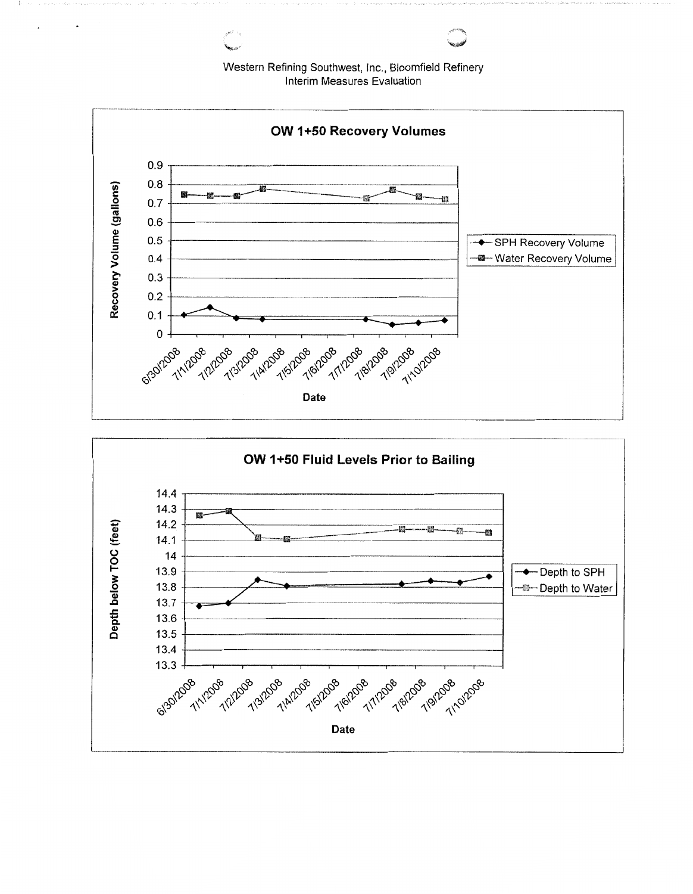Western Refining Southwest, Inc., Bloomfield Refinery Interim Measures Evaluation



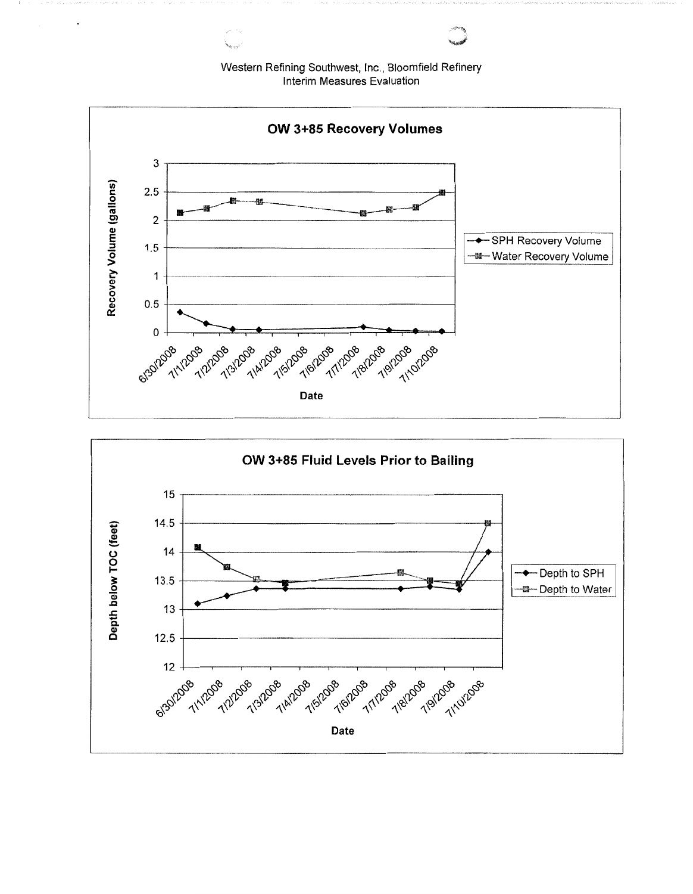Western Refining Southwest, Inc., Bloomfield Refinery Interim Measures Evaluation



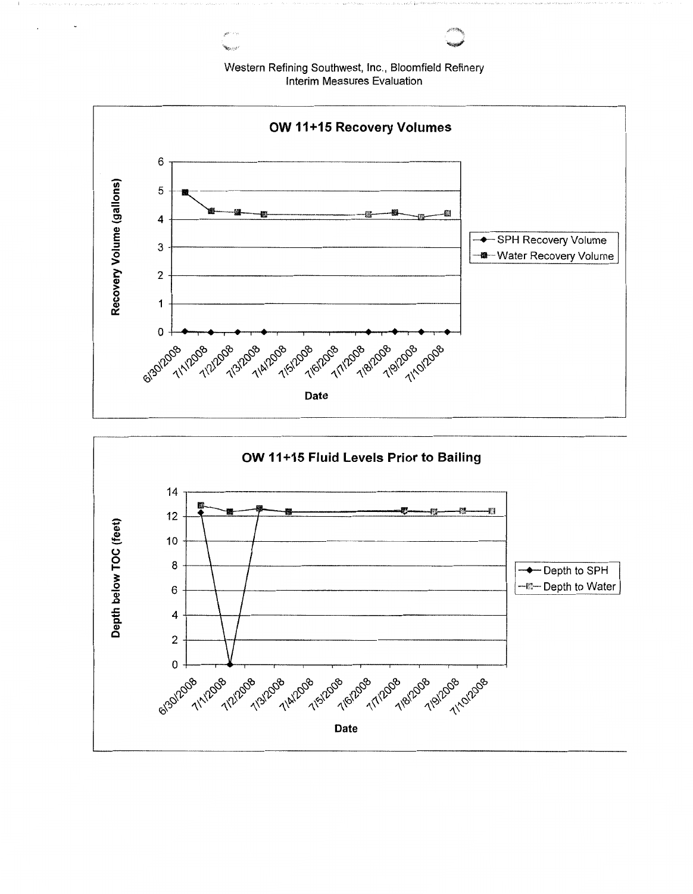Western Refining Southwest, Inc., Bloomfield Refinery Interim Measures Evaluation